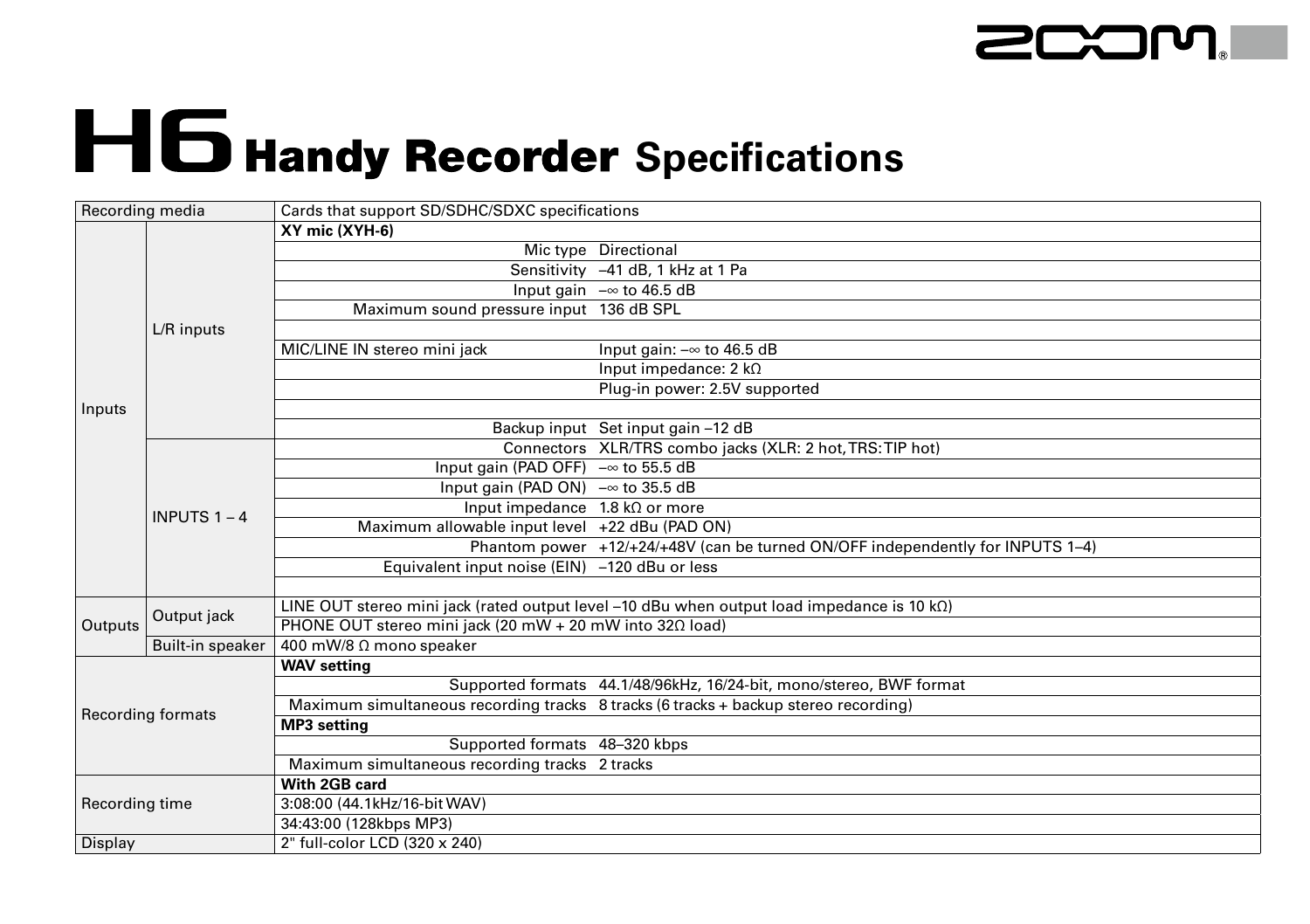

## H6 Handy Recorder Specifications

| Recording media   |                         | Cards that support SD/SDHC/SDXC specifications                   |                                                                                                     |  |
|-------------------|-------------------------|------------------------------------------------------------------|-----------------------------------------------------------------------------------------------------|--|
|                   | L/R inputs              | XY mic (XYH-6)                                                   |                                                                                                     |  |
|                   |                         |                                                                  | Mic type Directional                                                                                |  |
|                   |                         |                                                                  | Sensitivity -41 dB, 1 kHz at 1 Pa                                                                   |  |
|                   |                         |                                                                  | Input gain $-\infty$ to 46.5 dB                                                                     |  |
|                   |                         | Maximum sound pressure input 136 dB SPL                          |                                                                                                     |  |
|                   |                         |                                                                  |                                                                                                     |  |
|                   |                         | MIC/LINE IN stereo mini jack                                     | Input gain: $-\infty$ to 46.5 dB                                                                    |  |
|                   |                         |                                                                  | Input impedance: $2 k\Omega$                                                                        |  |
|                   |                         |                                                                  | Plug-in power: 2.5V supported                                                                       |  |
| Inputs            |                         |                                                                  |                                                                                                     |  |
|                   |                         |                                                                  | Backup input Set input gain -12 dB                                                                  |  |
|                   | <b>INPUTS 1 - 4</b>     |                                                                  | Connectors XLR/TRS combo jacks (XLR: 2 hot, TRS: TIP hot)                                           |  |
|                   |                         | Input gain (PAD OFF) $-\infty$ to 55.5 dB                        |                                                                                                     |  |
|                   |                         | Input gain (PAD ON) $-\infty$ to 35.5 dB                         |                                                                                                     |  |
|                   |                         | Input impedance $1.8 \text{ k}\Omega$ or more                    |                                                                                                     |  |
|                   |                         | Maximum allowable input level +22 dBu (PAD ON)                   |                                                                                                     |  |
|                   |                         |                                                                  | Phantom power +12/+24/+48V (can be turned ON/OFF independently for INPUTS 1-4)                      |  |
|                   |                         | Equivalent input noise (EIN) -120 dBu or less                    |                                                                                                     |  |
|                   |                         |                                                                  |                                                                                                     |  |
|                   | Output jack             |                                                                  | LINE OUT stereo mini jack (rated output level -10 dBu when output load impedance is 10 k $\Omega$ ) |  |
| Outputs           |                         | PHONE OUT stereo mini jack (20 mW + 20 mW into 32 $\Omega$ load) |                                                                                                     |  |
|                   | <b>Built-in speaker</b> | 400 mW/8 Ω mono speaker                                          |                                                                                                     |  |
| Recording formats |                         | <b>WAV setting</b>                                               |                                                                                                     |  |
|                   |                         |                                                                  | Supported formats 44.1/48/96kHz, 16/24-bit, mono/stereo, BWF format                                 |  |
|                   |                         |                                                                  | Maximum simultaneous recording tracks 8 tracks (6 tracks + backup stereo recording)                 |  |
|                   |                         | <b>MP3</b> setting                                               |                                                                                                     |  |
|                   |                         | Supported formats 48-320 kbps                                    |                                                                                                     |  |
|                   |                         | Maximum simultaneous recording tracks 2 tracks                   |                                                                                                     |  |
| Recording time    |                         | With 2GB card                                                    |                                                                                                     |  |
|                   |                         | 3:08:00 (44.1kHz/16-bit WAV)                                     |                                                                                                     |  |
|                   |                         | 34:43:00 (128kbps MP3)                                           |                                                                                                     |  |
| Display           |                         | 2" full-color LCD (320 x 240)                                    |                                                                                                     |  |